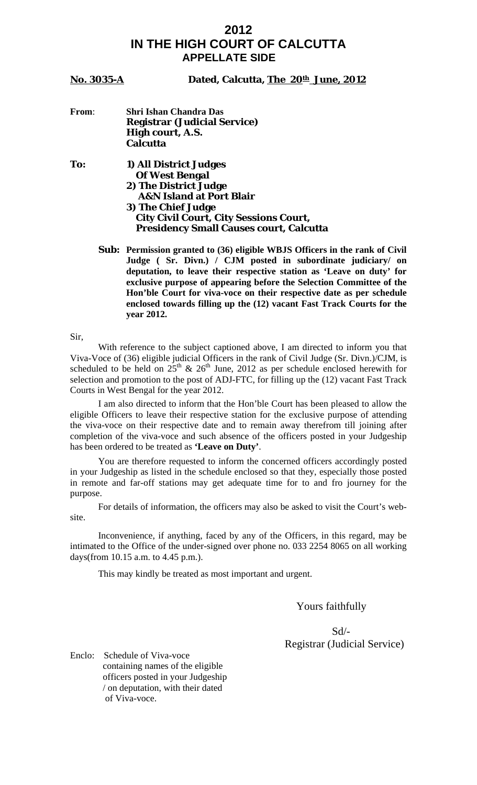### **2012 IN THE HIGH COURT OF CALCUTTA APPELLATE SIDE**

#### **No. 3035-A** Dated, Calcutta, The 20th June, 2012

#### **From**: **Shri Ishan Chandra Das Registrar (Judicial Service) High court, A.S. Calcutta**

**To: 1) All District Judges Of West Bengal 2) The District Judge A&N Island at Port Blair 3) The Chief Judge City Civil Court, City Sessions Court, Presidency Small Causes court, Calcutta** 

> **Sub: Permission granted to (36) eligible WBJS Officers in the rank of Civil Judge ( Sr. Divn.) / CJM posted in subordinate judiciary/ on deputation, to leave their respective station as 'Leave on duty' for exclusive purpose of appearing before the Selection Committee of the Hon'ble Court for viva-voce on their respective date as per schedule enclosed towards filling up the (12) vacant Fast Track Courts for the year 2012.**

Sir,

 With reference to the subject captioned above, I am directed to inform you that Viva-Voce of (36) eligible judicial Officers in the rank of Civil Judge (Sr. Divn.)/CJM, is scheduled to be held on  $25<sup>th</sup>$  &  $26<sup>th</sup>$  June, 2012 as per schedule enclosed herewith for selection and promotion to the post of ADJ-FTC, for filling up the (12) vacant Fast Track Courts in West Bengal for the year 2012.

 I am also directed to inform that the Hon'ble Court has been pleased to allow the eligible Officers to leave their respective station for the exclusive purpose of attending the viva-voce on their respective date and to remain away therefrom till joining after completion of the viva-voce and such absence of the officers posted in your Judgeship has been ordered to be treated as **'Leave on Duty'**.

 You are therefore requested to inform the concerned officers accordingly posted in your Judgeship as listed in the schedule enclosed so that they, especially those posted in remote and far-off stations may get adequate time for to and fro journey for the purpose.

 For details of information, the officers may also be asked to visit the Court's website.

 Inconvenience, if anything, faced by any of the Officers, in this regard, may be intimated to the Office of the under-signed over phone no. 033 2254 8065 on all working days(from 10.15 a.m. to 4.45 p.m.).

This may kindly be treated as most important and urgent.

Yours faithfully

 Sd/- Registrar (Judicial Service)

Enclo: Schedule of Viva-voce containing names of the eligible officers posted in your Judgeship / on deputation, with their dated of Viva-voce.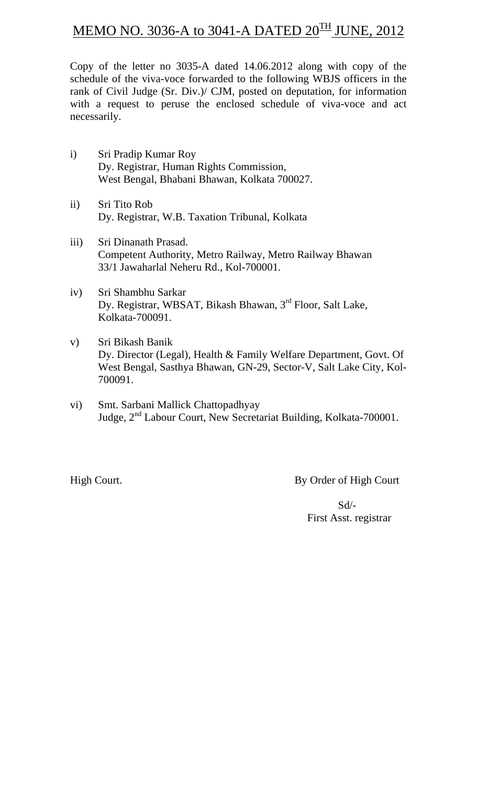# MEMO NO. 3036-A to 3041-A DATED  $20^{\text{TH}}$  JUNE, 2012

Copy of the letter no 3035-A dated 14.06.2012 along with copy of the schedule of the viva-voce forwarded to the following WBJS officers in the rank of Civil Judge (Sr. Div.)/ CJM, posted on deputation, for information with a request to peruse the enclosed schedule of viva-voce and act necessarily.

- i) Sri Pradip Kumar Roy Dy. Registrar, Human Rights Commission, West Bengal, Bhabani Bhawan, Kolkata 700027.
- ii) Sri Tito Rob Dy. Registrar, W.B. Taxation Tribunal, Kolkata
- iii) Sri Dinanath Prasad. Competent Authority, Metro Railway, Metro Railway Bhawan 33/1 Jawaharlal Neheru Rd., Kol-700001.
- iv) Sri Shambhu Sarkar Dy. Registrar, WBSAT, Bikash Bhawan, 3rd Floor, Salt Lake, Kolkata-700091.
- v) Sri Bikash Banik Dy. Director (Legal), Health & Family Welfare Department, Govt. Of West Bengal, Sasthya Bhawan, GN-29, Sector-V, Salt Lake City, Kol-700091.
- vi) Smt. Sarbani Mallick Chattopadhyay Judge, 2nd Labour Court, New Secretariat Building, Kolkata-700001.

High Court. By Order of High Court

 Sd/- First Asst. registrar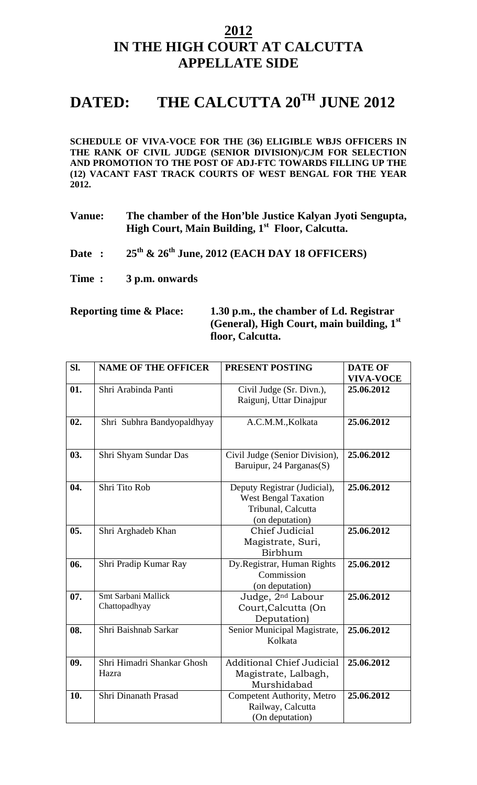## **2012 IN THE HIGH COURT AT CALCUTTA APPELLATE SIDE**

# DATED: THE CALCUTTA 20<sup>TH</sup> JUNE 2012

**SCHEDULE OF VIVA-VOCE FOR THE (36) ELIGIBLE WBJS OFFICERS IN THE RANK OF CIVIL JUDGE (SENIOR DIVISION)/CJM FOR SELECTION AND PROMOTION TO THE POST OF ADJ-FTC TOWARDS FILLING UP THE (12) VACANT FAST TRACK COURTS OF WEST BENGAL FOR THE YEAR 2012.** 

- **Vanue: The chamber of the Hon'ble Justice Kalyan Jyoti Sengupta, High Court, Main Building, 1st Floor, Calcutta.**
- **Date : 25th & 26th June, 2012 (EACH DAY 18 OFFICERS)**
- **Time : 3 p.m. onwards**

### **Reporting time & Place: 1.30 p.m., the chamber of Ld. Registrar (General), High Court, main building, 1st floor, Calcutta.**

| Sl. | <b>NAME OF THE OFFICER</b>           | PRESENT POSTING                                                                                      | <b>DATE OF</b>   |
|-----|--------------------------------------|------------------------------------------------------------------------------------------------------|------------------|
|     |                                      |                                                                                                      | <b>VIVA-VOCE</b> |
| 01. | Shri Arabinda Panti                  | Civil Judge (Sr. Divn.),                                                                             | 25.06.2012       |
|     |                                      | Raigunj, Uttar Dinajpur                                                                              |                  |
| 02. | Shri Subhra Bandyopaldhyay           | A.C.M.M., Kolkata                                                                                    | 25.06.2012       |
| 03. | Shri Shyam Sundar Das                | Civil Judge (Senior Division),<br>Baruipur, 24 Parganas(S)                                           | 25.06.2012       |
| 04. | Shri Tito Rob                        | Deputy Registrar (Judicial),<br><b>West Bengal Taxation</b><br>Tribunal, Calcutta<br>(on deputation) | 25.06.2012       |
| 05. | Shri Arghadeb Khan                   | Chief Judicial<br>Magistrate, Suri,<br>Birbhum                                                       | 25.06.2012       |
| 06. | Shri Pradip Kumar Ray                | Dy.Registrar, Human Rights<br>Commission<br>(on deputation)                                          | 25.06.2012       |
| 07. | Smt Sarbani Mallick<br>Chattopadhyay | Judge, 2 <sup>nd</sup> Labour<br>Court, Calcutta (On<br>Deputation)                                  | 25.06.2012       |
| 08. | Shri Baishnab Sarkar                 | Senior Municipal Magistrate,<br>Kolkata                                                              | 25.06.2012       |
| 09. | Shri Himadri Shankar Ghosh<br>Hazra  | <b>Additional Chief Judicial</b><br>Magistrate, Lalbagh,<br>Murshidabad                              | 25.06.2012       |
| 10. | Shri Dinanath Prasad                 | Competent Authority, Metro<br>Railway, Calcutta<br>(On deputation)                                   | 25.06.2012       |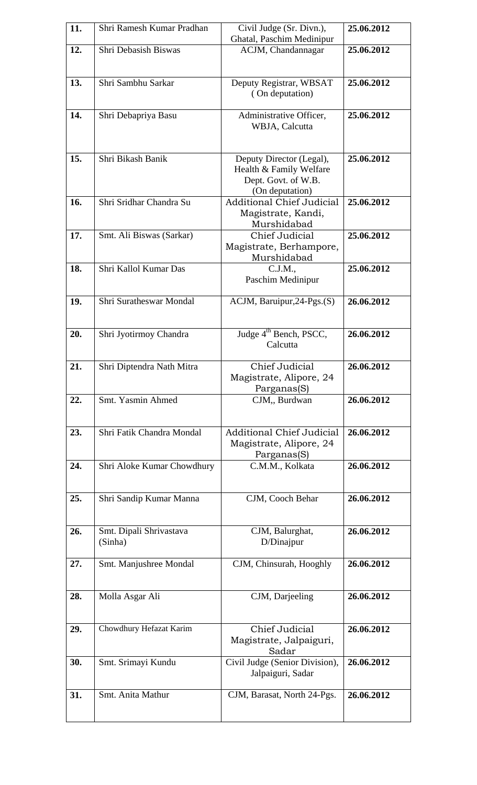| 11. | Shri Ramesh Kumar Pradhan          | Civil Judge (Sr. Divn.),<br>Ghatal, Paschim Medinipur                                         | 25.06.2012 |
|-----|------------------------------------|-----------------------------------------------------------------------------------------------|------------|
| 12. | Shri Debasish Biswas               | ACJM, Chandannagar                                                                            | 25.06.2012 |
| 13. | Shri Sambhu Sarkar                 | Deputy Registrar, WBSAT<br>(On deputation)                                                    | 25.06.2012 |
| 14. | Shri Debapriya Basu                | Administrative Officer,<br>WBJA, Calcutta                                                     | 25.06.2012 |
| 15. | Shri Bikash Banik                  | Deputy Director (Legal),<br>Health & Family Welfare<br>Dept. Govt. of W.B.<br>(On deputation) | 25.06.2012 |
| 16. | Shri Sridhar Chandra Su            | <b>Additional Chief Judicial</b><br>Magistrate, Kandi,<br>Murshidabad                         | 25.06.2012 |
| 17. | Smt. Ali Biswas (Sarkar)           | Chief Judicial<br>Magistrate, Berhampore,<br>Murshidabad                                      | 25.06.2012 |
| 18. | Shri Kallol Kumar Das              | C.J.M.,<br>Paschim Medinipur                                                                  | 25.06.2012 |
| 19. | Shri Suratheswar Mondal            | ACJM, Baruipur, 24-Pgs.(S)                                                                    | 26.06.2012 |
| 20. | Shri Jyotirmoy Chandra             | Judge 4 <sup>th</sup> Bench, PSCC,<br>Calcutta                                                | 26.06.2012 |
| 21. | Shri Diptendra Nath Mitra          | Chief Judicial<br>Magistrate, Alipore, 24<br>Parganas(S)                                      | 26.06.2012 |
| 22. | Smt. Yasmin Ahmed                  | CJM, Burdwan                                                                                  | 26.06.2012 |
| 23. | Shri Fatik Chandra Mondal          | <b>Additional Chief Judicial</b><br>Magistrate, Alipore, 24<br>Parganas(S)                    | 26.06.2012 |
| 24. | Shri Aloke Kumar Chowdhury         | C.M.M., Kolkata                                                                               | 26.06.2012 |
| 25. | Shri Sandip Kumar Manna            | CJM, Cooch Behar                                                                              | 26.06.2012 |
| 26. | Smt. Dipali Shrivastava<br>(Sinha) | CJM, Balurghat,<br>D/Dinajpur                                                                 | 26.06.2012 |
| 27. | Smt. Manjushree Mondal             | CJM, Chinsurah, Hooghly                                                                       | 26.06.2012 |
| 28. | Molla Asgar Ali                    | CJM, Darjeeling                                                                               | 26.06.2012 |
| 29. | Chowdhury Hefazat Karim            | Chief Judicial<br>Magistrate, Jalpaiguri,<br>Sadar                                            | 26.06.2012 |
| 30. | Smt. Srimayi Kundu                 | Civil Judge (Senior Division),<br>Jalpaiguri, Sadar                                           | 26.06.2012 |
| 31. | Smt. Anita Mathur                  | CJM, Barasat, North 24-Pgs.                                                                   | 26.06.2012 |